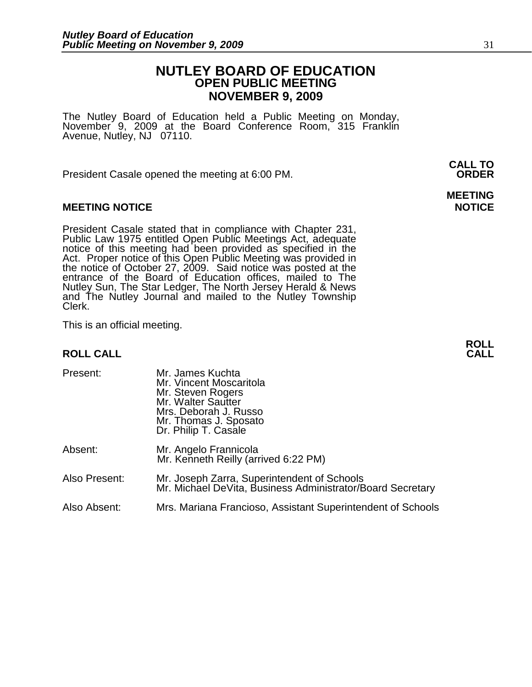# **NUTLEY BOARD OF EDUCATION OPEN PUBLIC MEETING NOVEMBER 9, 2009**

**MEETING** 

The Nutley Board of Education held a Public Meeting on Monday, November 9, 2009 at the Board Conference Room, 315 Franklin Avenue, Nutley, NJ 07110.

President Casale opened the meeting at 6:00 PM.

# **MEETING NOTICE NOTICE AND INSTRUMENT IN A SET ON A SET ON A SET ON A SET ON A SET ON A SET ON A SET ON A SET O**

President Casale stated that in compliance with Chapter 231, Public Law 1975 entitled Open Public Meetings Act, adequate notice of this meeting had been provided as specified in the Act. Proper notice of this Open Public Meeting was provided in the notice of October 27, 2009. Said notice was posted at the entrance of the Board of Education offices, mailed to The Nutley Sun, The Star Ledger, The North Jersey Herald & News and The Nutley Journal and mailed to the Nutley Township Clerk.

This is an official meeting.

### **ROLL CALL**

| Present:      | Mr. James Kuchta<br>Mr. Vincent Moscaritola<br>Mr. Steven Rogers<br>Mr. Walter Sautter<br>Mrs. Deborah J. Russo<br>Mr. Thomas J. Sposato<br>Dr. Philip T. Casale |
|---------------|------------------------------------------------------------------------------------------------------------------------------------------------------------------|
| Absent:       | Mr. Angelo Frannicola<br>Mr. Kenneth Reilly (arrived 6:22 PM)                                                                                                    |
| Also Present: | Mr. Joseph Zarra, Superintendent of Schools<br>Mr. Michael DeVita, Business Administrator/Board Secretary                                                        |
| Also Absent:  | Mrs. Mariana Francioso, Assistant Superintendent of Schools                                                                                                      |

**ROLL** 

**CALL TO**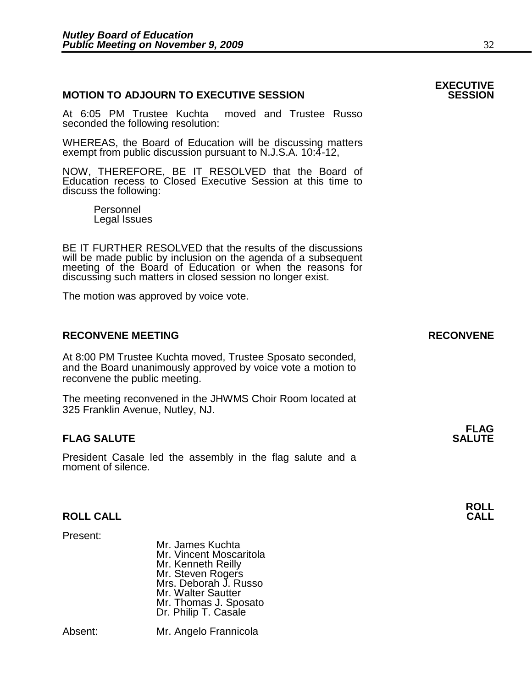# **MOTION TO ADJOURN TO EXECUTIVE SESSION**

At 6:05 PM Trustee Kuchta moved and Trustee Russo seconded the following resolution:

WHEREAS, the Board of Education will be discussing matters exempt from public discussion pursuant to N.J.S.A. 10:4-12,

NOW, THEREFORE, BE IT RESOLVED that the Board of Education recess to Closed Executive Session at this time to discuss the following:

 Personnel Legal Issues

BE IT FURTHER RESOLVED that the results of the discussions will be made public by inclusion on the agenda of a subsequent meeting of the Board of Education or when the reasons for discussing such matters in closed session no longer exist.

The motion was approved by voice vote.

# RECONVENE MEETING **RECONVENE**

At 8:00 PM Trustee Kuchta moved, Trustee Sposato seconded, and the Board unanimously approved by voice vote a motion to reconvene the public meeting.

The meeting reconvened in the JHWMS Choir Room located at 325 Franklin Avenue, Nutley, NJ.

### **FLAG FLAG SALUTE** SALUTE SALUTE SALUTE SALUTE SALUTE SALUTE SALUTE SALUTE SALUTE SALUTE SALUTE SALUTE SALUTE SALUTE SALUTE

President Casale led the assembly in the flag salute and a moment of silence.

# **ROLL CALL**

Present:

 Mr. James Kuchta Mr. Vincent Moscaritola Mr. Kenneth Reilly Mr. Steven Rogers Mrs. Deborah J. Russo Mr. Walter Sautter Mr. Thomas J. Sposato Dr. Philip T. Casale

Absent: Mr. Angelo Frannicola



**EXECUTIVE**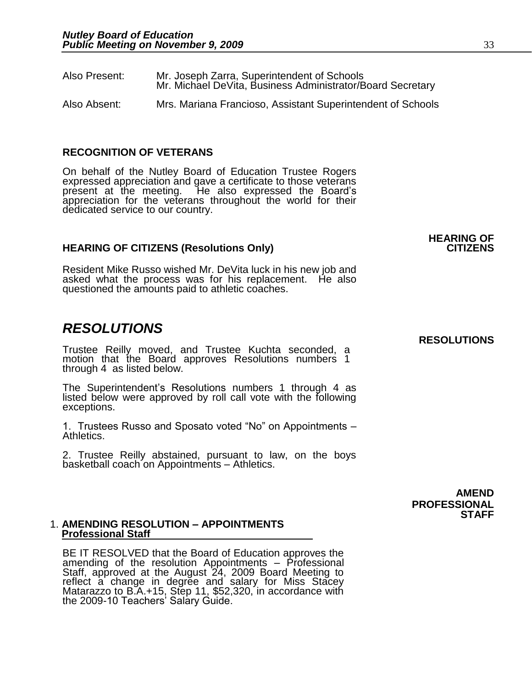֧֖֖֖֚֚֚֞֝֬֝֬

| Also Present: | Mr. Joseph Zarra, Superintendent of Schools<br>Mr. Michael DeVita, Business Administrator/Board Secretary |
|---------------|-----------------------------------------------------------------------------------------------------------|
| Also Absent:  | Mrs. Mariana Francioso, Assistant Superintendent of Schools                                               |

### **RECOGNITION OF VETERANS**

On behalf of the Nutley Board of Education Trustee Rogers expressed appreciation and gave a certificate to those veterans present at the meeting. He also expressed the Board's appreciation for the veterans throughout the world for their dedicated service to our country.

### **HEARING OF CITIZENS (Resolutions Only)**

Resident Mike Russo wished Mr. DeVita luck in his new job and asked what the process was for his replacement. He also questioned the amounts paid to athletic coaches.

# *RESOLUTIONS*

Trustee Reilly moved, and Trustee Kuchta seconded, a motion that the Board approves Resolutions numbers 1 through 4 as listed below.

The Superintendent's Resolutions numbers 1 through 4 as listed below were approved by roll call vote with the following exceptions.

1. Trustees Russo and Sposato voted "No" on Appointments – Athletics.

2. Trustee Reilly abstained, pursuant to law, on the boys basketball coach on Appointments – Athletics.

> **AMEND PROFESSIONAL STAFF**

### 1. **AMENDING RESOLUTION – APPOINTMENTS Professional Staff**

BE IT RESOLVED that the Board of Education approves the amending of the resolution Appointments – Professional Staff, approved at the August 24, 2009 Board Meeting to reflect a change in degree and salary for Miss Stacey Matarazzo to B.A.+15, Step 11, \$52,320, in accordance with the 2009-10 Teachers' Salary Guide.

# **HEARING OF**

**RESOLUTIONS**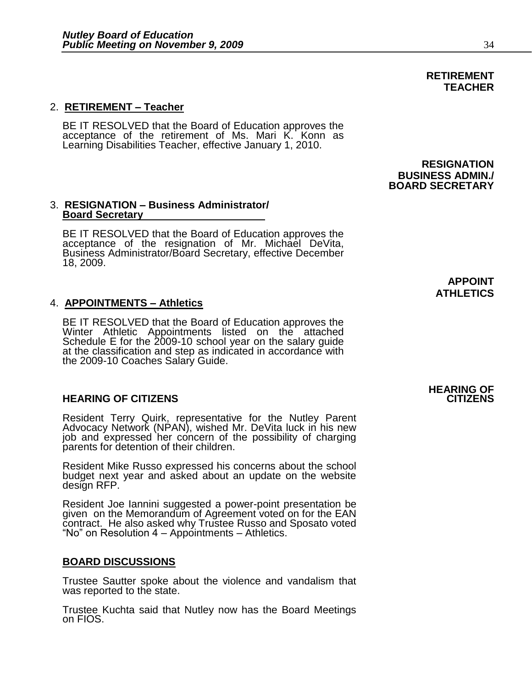# 2. **RETIREMENT – Teacher**

BE IT RESOLVED that the Board of Education approves the acceptance of the retirement of Ms. Mari K. Konn as Learning Disabilities Teacher, effective January 1, 2010.

### 3. **RESIGNATION – Business Administrator/ Board Secretary**

BE IT RESOLVED that the Board of Education approves the acceptance of the resignation of Mr. Michael DeVita, Business Administrator/Board Secretary, effective December 18, 2009.

### 4. **APPOINTMENTS – Athletics**

BE IT RESOLVED that the Board of Education approves the Winter Athletic Appointments listed on the attached Schedule E for the 2009-10 school year on the salary guide at the classification and step as indicated in accordance with the 2009-10 Coaches Salary Guide.

### **HEARING OF CITIZENS CITIZENS**

Resident Terry Quirk, representative for the Nutley Parent Advocacy Network (NPAN), wished Mr. DeVita luck in his new job and expressed her concern of the possibility of charging parents for detention of their children.

Resident Mike Russo expressed his concerns about the school budget next year and asked about an update on the website design RFP.

Resident Joe Iannini suggested a power-point presentation be given on the Memorandum of Agreement voted on for the EAN contract. He also asked why Trustee Russo and Sposato voted "No" on Resolution 4 – Appointments – Athletics.

### **BOARD DISCUSSIONS**

Trustee Sautter spoke about the violence and vandalism that was reported to the state.

Trustee Kuchta said that Nutley now has the Board Meetings on FIOS.

**APPOINT ATHLETICS** 

# **HEARING OF**

# **RETIREMENT TEACHER**

**RESIGNATION BUSINESS ADMIN./ BOARD SECRETARY**